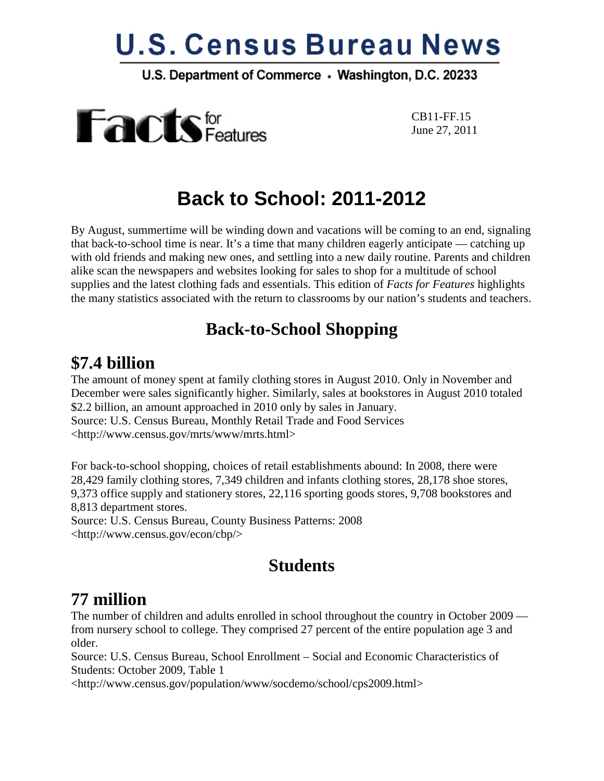# **U.S. Census Bureau News**

U.S. Department of Commerce . Washington, D.C. 20233



 CB11-FF.15 June 27, 2011

## **Back to School: 2011-2012**

By August, summertime will be winding down and vacations will be coming to an end, signaling that back-to-school time is near. It's a time that many children eagerly anticipate — catching up with old friends and making new ones, and settling into a new daily routine. Parents and children alike scan the newspapers and websites looking for sales to shop for a multitude of school supplies and the latest clothing fads and essentials. This edition of *Facts for Features* highlights the many statistics associated with the return to classrooms by our nation's students and teachers.

#### **Back-to-School Shopping**

#### **\$7.4 billion**

The amount of money spent at family clothing stores in August 2010. Only in November and December were sales significantly higher. Similarly, sales at bookstores in August 2010 totaled \$2.2 billion, an amount approached in 2010 only by sales in January. Source: U.S. Census Bureau, Monthly Retail Trade and Food Services <http://www.census.gov/mrts/www/mrts.html>

For back-to-school shopping, choices of retail establishments abound: In 2008, there were 28,429 family clothing stores, 7,349 children and infants clothing stores, 28,178 shoe stores, 9,373 office supply and stationery stores, 22,116 sporting goods stores, 9,708 bookstores and 8,813 department stores.

Source: U.S. Census Bureau, County Business Patterns: 2008 <http://www.census.gov/econ/cbp/>

### **Students**

#### **77 million**

The number of children and adults enrolled in school throughout the country in October 2009 from nursery school to college. They comprised 27 percent of the entire population age 3 and older.

Source: U.S. Census Bureau, School Enrollment – Social and Economic Characteristics of Students: October 2009, Table 1

<http://www.census.gov/population/www/socdemo/school/cps2009.html>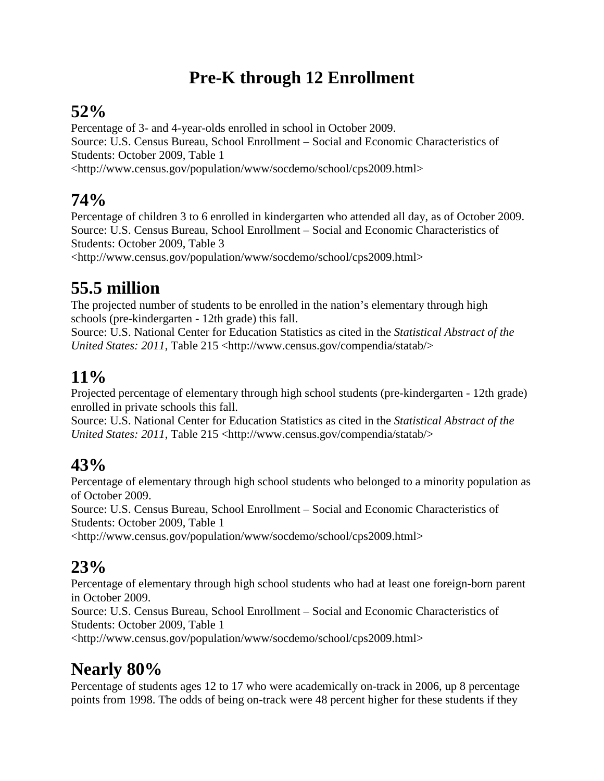## **Pre-K through 12 Enrollment**

#### **52%**

Percentage of 3- and 4-year-olds enrolled in school in October 2009. Source: U.S. Census Bureau, School Enrollment – Social and Economic Characteristics of Students: October 2009, Table 1 <http://www.census.gov/population/www/socdemo/school/cps2009.html>

### **74%**

Percentage of children 3 to 6 enrolled in kindergarten who attended all day, as of October 2009. Source: U.S. Census Bureau, School Enrollment – Social and Economic Characteristics of Students: October 2009, Table 3

<http://www.census.gov/population/www/socdemo/school/cps2009.html>

## **55.5 million**

The projected number of students to be enrolled in the nation's elementary through high schools (pre-kindergarten - 12th grade) this fall.

Source: U.S. National Center for Education Statistics as cited in the *Statistical Abstract of the United States: 2011*, Table 215 [<http://www.census.gov/compendia/statab/>](http://www.census.gov/compendia/statab/)

### **11%**

Projected percentage of elementary through high school students (pre-kindergarten - 12th grade) enrolled in private schools this fall.

Source: U.S. National Center for Education Statistics as cited in the *Statistical Abstract of the United States: 2011*, Table 215 <http://www.census.gov/compendia/statab/>

#### **43%**

Percentage of elementary through high school students who belonged to a minority population as of October 2009.

Source: U.S. Census Bureau, School Enrollment – Social and Economic Characteristics of Students: October 2009, Table 1

<http://www.census.gov/population/www/socdemo/school/cps2009.html>

#### **23%**

Percentage of elementary through high school students who had at least one foreign-born parent in October 2009.

Source: U.S. Census Bureau, School Enrollment – Social and Economic Characteristics of Students: October 2009, Table 1

<http://www.census.gov/population/www/socdemo/school/cps2009.html>

## **Nearly 80%**

Percentage of students ages 12 to 17 who were academically on-track in 2006, up 8 percentage points from 1998. The odds of being on-track were 48 percent higher for these students if they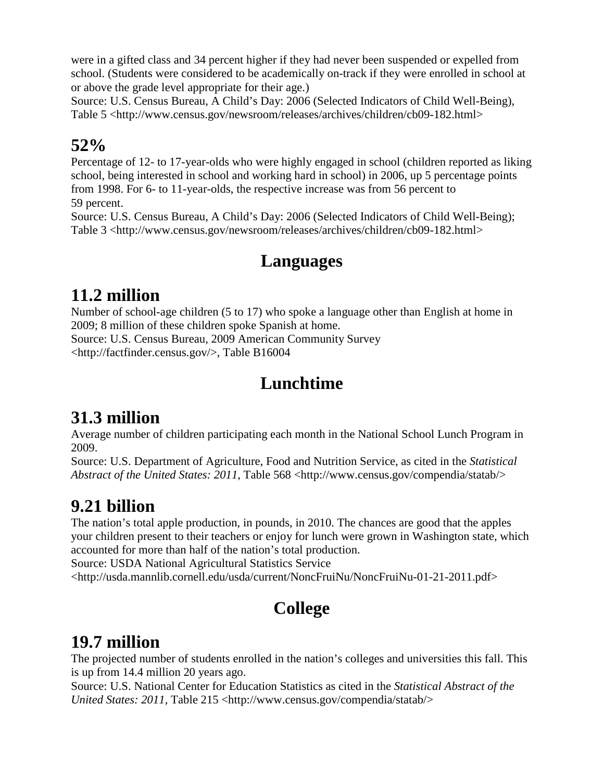were in a gifted class and 34 percent higher if they had never been suspended or expelled from school. (Students were considered to be academically on-track if they were enrolled in school at or above the grade level appropriate for their age.)

Source: U.S. Census Bureau, A Child's Day: 2006 (Selected Indicators of Child Well-Being), Table 5 <http://www.census.gov/newsroom/releases/archives/children/cb09-182.html>

#### **52%**

Percentage of 12- to 17-year-olds who were highly engaged in school (children reported as liking school, being interested in school and working hard in school) in 2006, up 5 percentage points from 1998. For 6- to 11-year-olds, the respective increase was from 56 percent to 59 percent.

Source: U.S. Census Bureau, A Child's Day: 2006 (Selected Indicators of Child Well-Being); Table 3 <http://www.census.gov/newsroom/releases/archives/children/cb09-182.html>

#### **Languages**

#### **11.2 million**

Number of school-age children (5 to 17) who spoke a language other than English at home in 2009; 8 million of these children spoke Spanish at home.

Source: U.S. Census Bureau, 2009 American Community Survey [<http://factfinder.census.gov/>](http://factfinder.census.gov/), Table B16004

## **Lunchtime**

## **31.3 million**

Average number of children participating each month in the National School Lunch Program in 2009.

Source: U.S. Department of Agriculture, Food and Nutrition Service, as cited in the *Statistical Abstract of the United States: 2011*, Table 568 <http://www.census.gov/compendia/statab/>

## **9.21 billion**

The nation's total apple production, in pounds, in 2010. The chances are good that the apples your children present to their teachers or enjoy for lunch were grown in Washington state, which accounted for more than half of the nation's total production.

Source: USDA National Agricultural Statistics Service

<http://usda.mannlib.cornell.edu/usda/current/NoncFruiNu/NoncFruiNu-01-21-2011.pdf>

## **College**

### **19.7 million**

The projected number of students enrolled in the nation's colleges and universities this fall. This is up from 14.4 million 20 years ago.

Source: U.S. National Center for Education Statistics as cited in the *Statistical Abstract of the United States: 2011*, Table 215 <http://www.census.gov/compendia/statab/>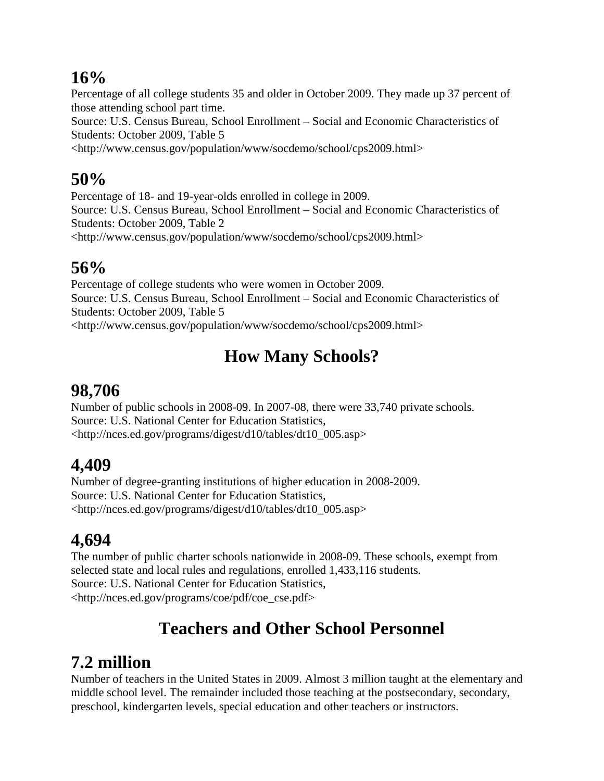#### **16%**

Percentage of all college students 35 and older in October 2009. They made up 37 percent of those attending school part time.

Source: U.S. Census Bureau, School Enrollment – Social and Economic Characteristics of Students: October 2009, Table 5

<http://www.census.gov/population/www/socdemo/school/cps2009.html>

#### **50%**

Percentage of 18- and 19-year-olds enrolled in college in 2009.

Source: U.S. Census Bureau, School Enrollment – Social and Economic Characteristics of Students: October 2009, Table 2

<http://www.census.gov/population/www/socdemo/school/cps2009.html>

#### **56%**

Percentage of college students who were women in October 2009. Source: U.S. Census Bureau, School Enrollment – Social and Economic Characteristics of Students: October 2009, Table 5 <http://www.census.gov/population/www/socdemo/school/cps2009.html>

## **How Many Schools?**

### **98,706**

Number of public schools in 2008-09. In 2007-08, there were 33,740 private schools. Source: U.S. National Center for Education Statistics, <http://nces.ed.gov/programs/digest/d10/tables/dt10\_005.asp>

## **4,409**

Number of degree-granting institutions of higher education in 2008-2009. Source: U.S. National Center for Education Statistics, [<http://nces.ed.gov/programs/digest/d10/tables/dt10\\_005.asp>](http://nces.ed.gov/programs/digest/d10/tables/dt10_005.asp)

## **4,694**

The number of public charter schools nationwide in 2008-09. These schools, exempt from selected state and local rules and regulations, enrolled 1,433,116 students. Source: U.S. National Center for Education Statistics, <http://nces.ed.gov/programs/coe/pdf/coe\_cse.pdf>

## **Teachers and Other School Personnel**

## **7.2 million**

Number of teachers in the United States in 2009. Almost 3 million taught at the elementary and middle school level. The remainder included those teaching at the postsecondary, secondary, preschool, kindergarten levels, special education and other teachers or instructors.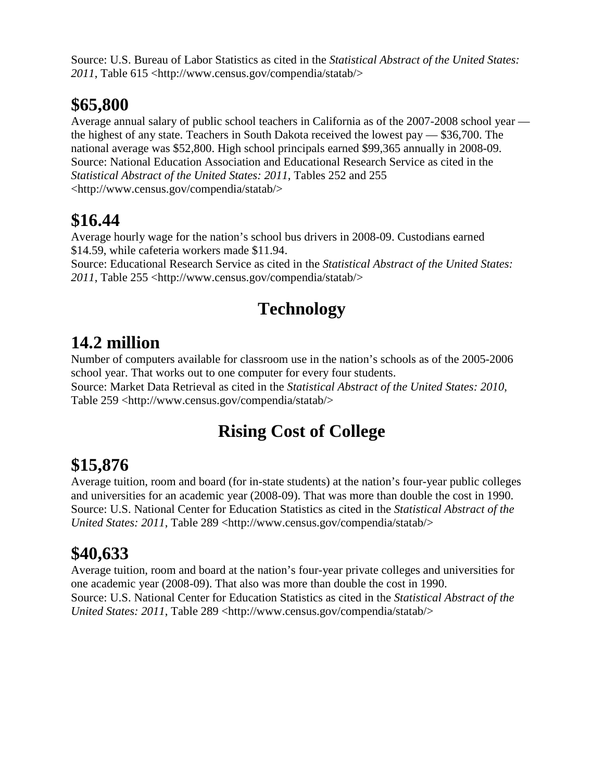Source: U.S. Bureau of Labor Statistics as cited in the *Statistical Abstract of the United States: 2011*, Table 615 <http://www.census.gov/compendia/statab/>

## **\$65,800**

Average annual salary of public school teachers in California as of the 2007-2008 school year the highest of any state. Teachers in South Dakota received the lowest pay — \$36,700. The national average was \$52,800. High school principals earned \$99,365 annually in 2008-09. Source: National Education Association and Educational Research Service as cited in the *Statistical Abstract of the United States: 2011*, Tables 252 and 255 <http://www.census.gov/compendia/statab/>

## **\$16.44**

Average hourly wage for the nation's school bus drivers in 2008-09. Custodians earned \$14.59, while cafeteria workers made \$11.94.

Source: Educational Research Service as cited in the *Statistical Abstract of the United States: 2011*, Table 255 [<http://www.census.gov/compendia/statab/>](https://it013bcclnm.notes.census.gov/mail/glasi001.nsf/0/4C8F521E74CC644C852578A200597DE3/2009/%3chttp:/www.census.gov/compendia/statab/%3e)

## **Technology**

## **14.2 million**

Number of computers available for classroom use in the nation's schools as of the 2005-2006 school year. That works out to one computer for every four students.

Source: Market Data Retrieval as cited in the *Statistical Abstract of the United States: 2010*, Table 259 [<http://www.census.gov/compendia/statab/>](https://it013bcclnm.notes.census.gov/mail/glasi001.nsf/0/4C8F521E74CC644C852578A200597DE3/2009/%3chttp:/www.census.gov/compendia/statab/%3e)

## **Rising Cost of College**

## **\$15,876**

Average tuition, room and board (for in-state students) at the nation's four-year public colleges and universities for an academic year (2008-09). That was more than double the cost in 1990. Source: U.S. National Center for Education Statistics as cited in the *Statistical Abstract of the United States: 2011*, Table 289 [<http://www.census.gov/compendia/statab/>](https://it013bcclnm.notes.census.gov/mail/glasi001.nsf/0/4C8F521E74CC644C852578A200597DE3/2009/%3chttp:/www.census.gov/compendia/statab/%3e)

## **\$40,633**

Average tuition, room and board at the nation's four-year private colleges and universities for one academic year (2008-09). That also was more than double the cost in 1990. Source: U.S. National Center for Education Statistics as cited in the *Statistical Abstract of the United States: 2011*, Table 289 [<http://www.census.gov/compendia/statab/>](https://it013bcclnm.notes.census.gov/mail/glasi001.nsf/0/4C8F521E74CC644C852578A200597DE3/2009/%3chttp:/www.census.gov/compendia/statab/%3e)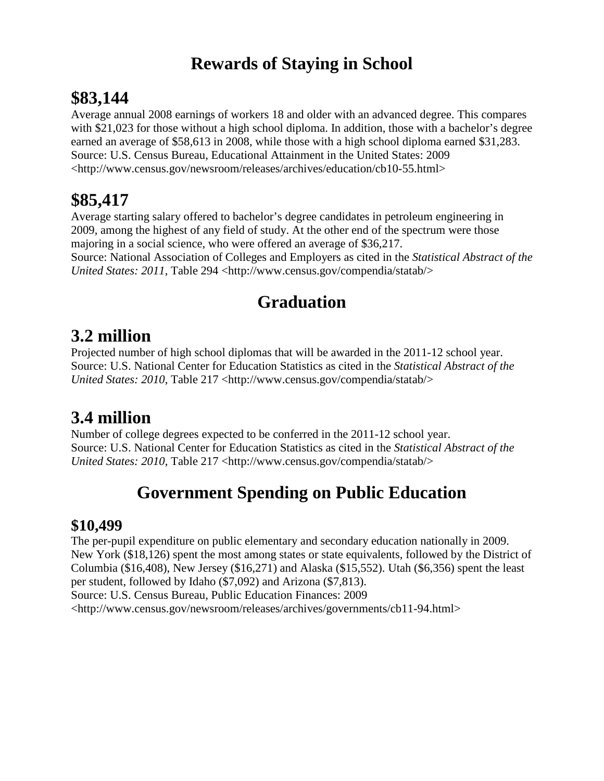### **Rewards of Staying in School**

#### **\$83,144**

Average annual 2008 earnings of workers 18 and older with an advanced degree. This compares with \$21,023 for those without a high school diploma. In addition, those with a bachelor's degree earned an average of \$58,613 in 2008, while those with a high school diploma earned \$31,283. Source: U.S. Census Bureau, Educational Attainment in the United States: 2009 [<http://www.census.gov/newsroom/releases/archives/education/cb10-55.html>](http://www.census.gov/newsroom/releases/archives/education/cb10-55.html)

### **\$85,417**

Average starting salary offered to bachelor's degree candidates in petroleum engineering in 2009, among the highest of any field of study. At the other end of the spectrum were those majoring in a social science, who were offered an average of \$36,217. Source: National Association of Colleges and Employers as cited in the *Statistical Abstract of the United States: 2011*, Table 294 [<http://www.census.gov/compendia/statab/>](https://it013bcclnm.notes.census.gov/mail/glasi001.nsf/0/4C8F521E74CC644C852578A200597DE3/2009/%3chttp:/www.census.gov/compendia/statab/%3e)

## **Graduation**

#### **3.2 million**

Projected number of high school diplomas that will be awarded in the 2011-12 school year. Source: U.S. National Center for Education Statistics as cited in the *Statistical Abstract of the United States: 2010*, Table 217 [<http://www.census.gov/compendia/statab/>](https://it013bcclnm.notes.census.gov/mail/glasi001.nsf/0/4C8F521E74CC644C852578A200597DE3/2009/%3chttp:/www.census.gov/compendia/statab/%3e)

### **3.4 million**

Number of college degrees expected to be conferred in the 2011-12 school year. Source: U.S. National Center for Education Statistics as cited in the *Statistical Abstract of the United States: 2010*, Table 217 [<http://www.census.gov/compendia/statab/>](https://it013bcclnm.notes.census.gov/mail/glasi001.nsf/0/4C8F521E74CC644C852578A200597DE3/2009/%3chttp:/www.census.gov/compendia/statab/%3e)

### **Government Spending on Public Education**

#### **\$10,499**

The per-pupil expenditure on public elementary and secondary education nationally in 2009. New York (\$18,126) spent the most among states or state equivalents, followed by the District of Columbia (\$16,408), New Jersey (\$16,271) and Alaska (\$15,552). Utah (\$6,356) spent the least per student, followed by Idaho (\$7,092) and Arizona (\$7,813). Source: U.S. Census Bureau, Public Education Finances: 2009 <http://www.census.gov/newsroom/releases/archives/governments/cb11-94.html>